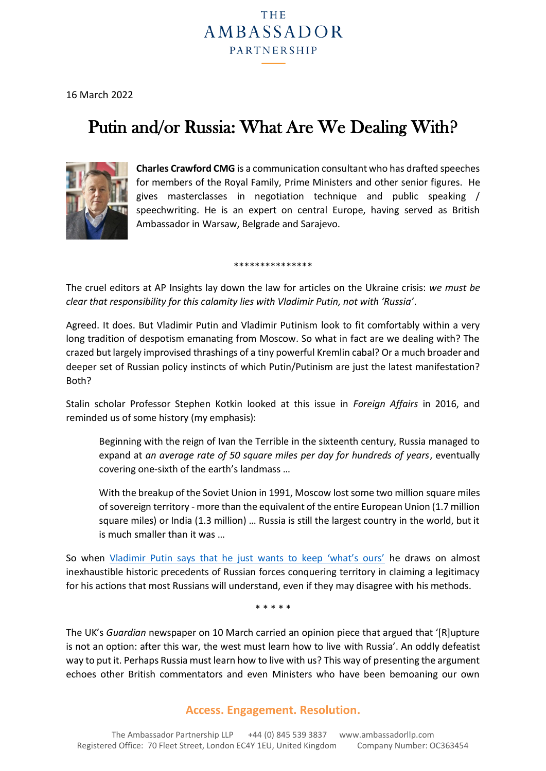## THE **AMBASSADOR PARTNERSHIP**

16 March 2022

# Putin and/or Russia: What Are We Dealing With?



**Charles Crawford CMG** is a communication consultant who has drafted speeches for members of the Royal Family, Prime Ministers and other senior figures. He gives masterclasses in negotiation technique and public speaking / speechwriting. He is an expert on central Europe, having served as British Ambassador in Warsaw, Belgrade and Sarajevo.

\*\*\*\*\*\*\*\*\*\*\*\*\*\*\*

The cruel editors at AP Insights lay down the law for articles on the Ukraine crisis: *we must be clear that responsibility for this calamity lies with Vladimir Putin, not with 'Russia'*.

Agreed. It does. But Vladimir Putin and Vladimir Putinism look to fit comfortably within a very long tradition of despotism emanating from Moscow. So what in fact are we dealing with? The crazed but largely improvised thrashings of a tiny powerful Kremlin cabal? Or a much broader and deeper set of Russian policy instincts of which Putin/Putinism are just the latest manifestation? Both?

Stalin scholar Professor Stephen Kotkin looked at this issue in *Foreign Affairs* in 2016, and reminded us of some history (my emphasis):

Beginning with the reign of Ivan the Terrible in the sixteenth century, Russia managed to expand at *an average rate of 50 square miles per day for hundreds of years*, eventually covering one-sixth of the earth's landmass …

With the breakup of the Soviet Union in 1991, Moscow lost some two million square miles of sovereign territory - more than the equivalent of the entire European Union (1.7 million square miles) or India (1.3 million) … Russia is still the largest country in the world, but it is much smaller than it was …

So when [Vladimir Putin says that he just wants to keep 'what's ours'](https://ambassadorllp.com/ap-insight-142---2022.html) he draws on almost inexhaustible historic precedents of Russian forces conquering territory in claiming a legitimacy for his actions that most Russians will understand, even if they may disagree with his methods.

\* \* \* \* \*

The UK's *Guardian* newspaper on 10 March carried an opinion piece that argued that '[R]upture is not an option: after this war, the west must learn how to live with Russia'. An oddly defeatist way to put it. Perhaps Russia must learn how to live with us? This way of presenting the argument echoes other British commentators and even Ministers who have been bemoaning our own

### **Access. Engagement. Resolution.**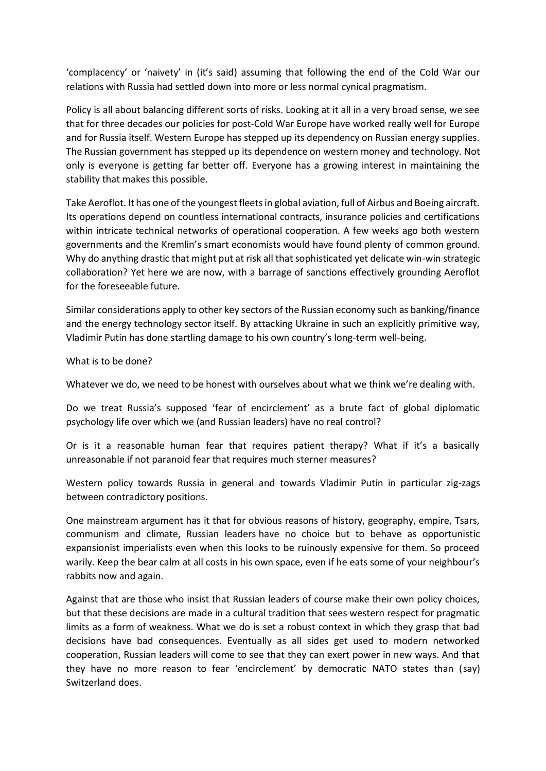'complacency' or 'naivety' in (it's said) assuming that following the end of the Cold War our relations with Russia had settled down into more or less normal cynical pragmatism.

Policy is all about balancing different sorts of risks. Looking at it all in a very broad sense, we see that for three decades our policies for post-Cold War Europe have worked really well for Europe and for Russia itself. Western Europe has stepped up its dependency on Russian energy supplies. The Russian government has stepped up its dependence on western money and technology. Not only is everyone is getting far better off. Everyone has a growing interest in maintaining the stability that makes this possible.

Take Aeroflot. It has one of the youngest fleets in global aviation, full of Airbus and Boeing aircraft. Its operations depend on countless international contracts, insurance policies and certifications within intricate technical networks of operational cooperation. A few weeks ago both western governments and the Kremlin's smart economists would have found plenty of common ground. Why do anything drastic that might put at risk all that sophisticated yet delicate win-win strategic collaboration? Yet here we are now, with a barrage of sanctions effectively grounding Aeroflot for the foreseeable future.

Similar considerations apply to other key sectors of the Russian economy such as banking/finance and the energy technology sector itself. By attacking Ukraine in such an explicitly primitive way, Vladimir Putin has done startling damage to his own country's long-term well-being.

What is to be done?

Whatever we do, we need to be honest with ourselves about what we think we're dealing with.

Do we treat Russia's supposed 'fear of encirclement' as a brute fact of global diplomatic psychology life over which we (and Russian leaders) have no real control?

Or is it a reasonable human fear that requires patient therapy? What if it's a basically unreasonable if not paranoid fear that requires much sterner measures?

Western policy towards Russia in general and towards Vladimir Putin in particular zig-zags between contradictory positions.

One mainstream argument has it that for obvious reasons of history, geography, empire, Tsars, communism and climate, Russian leaders have no choice but to behave as opportunistic expansionist imperialists even when this looks to be ruinously expensive for them. So proceed warily. Keep the bear calm at all costs in his own space, even if he eats some of your neighbour's rabbits now and again.

Against that are those who insist that Russian leaders of course make their own policy choices, but that these decisions are made in a cultural tradition that sees western respect for pragmatic limits as a form of weakness. What we do is set a robust context in which they grasp that bad decisions have bad consequences. Eventually as all sides get used to modern networked cooperation, Russian leaders will come to see that they can exert power in new ways. And that they have no more reason to fear 'encirclement' by democratic NATO states than (say) Switzerland does.